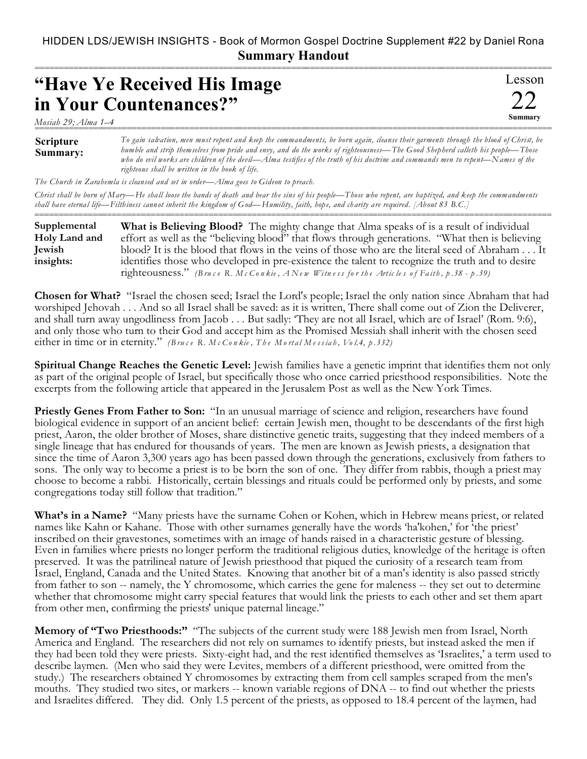## HIDDEN LDS/JEWISH INSIGHTS - Book of Mormon Gospel Doctrine Supplement #22 by Daniel Rona **Summary Handout**

===========================================================================================================

Lesson

22 **Summary**

## **"Have Ye Received His Image in Your Countenances?"**

*Mosiah 29; Alma 1–4* ===========================================================================================================

| Scripture<br><b>Summary:</b> | To gain salvation, men must repent and keep the commandments, be born again, cleanse their garments through the blood of Christ, be<br>humble and strip themselves from pride and envy, and do the works of righteousness—The Good Shepherd calleth his people—Those<br>who do evil works are children of the devil—Alma testifies of the truth of his doctrine and commands men to repent—Names of the |
|------------------------------|---------------------------------------------------------------------------------------------------------------------------------------------------------------------------------------------------------------------------------------------------------------------------------------------------------------------------------------------------------------------------------------------------------|
|                              | righteous shall be written in the book of life.                                                                                                                                                                                                                                                                                                                                                         |

*The Church in Zarahemla is cleansed and set in order—Alma goes to Gideon to preach.*

*Christ shall be born of Mary—He shall loose the bands of death and bear the sins of his people—Those who repent, are baptized, and keep the commandments shall have eternal life—Filthiness cannot inherit the kingdom of God—Humility, faith, hope, and charity are required. [About 83 B.C.]*

| Supplemental  | What is Believing Blood? The mighty change that Alma speaks of is a result of individual        |
|---------------|-------------------------------------------------------------------------------------------------|
| Holy Land and | effort as well as the "believing blood" that flows through generations. "What then is believing |
| Jewish        | blood? It is the blood that flows in the veins of those who are the literal seed of Abraham It  |
| insights:     | identifies those who developed in pre-existence the talent to recognize the truth and to desire |
|               | righteousness." (Bruce R. McConkie, A New Witness for the Articles of Faith, p.38 - p.39)       |

**Chosen for What?** "Israel the chosen seed; Israel the Lord's people; Israel the only nation since Abraham that had worshiped Jehovah . . . And so all Israel shall be saved: as it is written, There shall come out of Zion the Deliverer, and shall turn away ungodliness from Jacob . . . But sadly: 'They are not all Israel, which are of Israel' (Rom. 9:6), and only those who turn to their God and accept him as the Promised Messiah shall inherit with the chosen seed either in time or in eternity." (Bruce R. McConkie, The Mortal Messiah, Vol.4, p.332)

**Spiritual Change Reaches the Genetic Level:** Jewish families have a genetic imprint that identifies them not only as part of the original people of Israel, but specifically those who once carried priesthood responsibilities. Note the excerpts from the following article that appeared in the Jerusalem Post as well as the New York Times.

**Priestly Genes From Father to Son:** "In an unusual marriage of science and religion, researchers have found biological evidence in support of an ancient belief: certain Jewish men, thought to be descendants of the first high priest, Aaron, the older brother of Moses, share distinctive genetic traits, suggesting that they indeed members of a single lineage that has endured for thousands of years. The men are known as Jewish priests, a designation that since the time of Aaron 3,300 years ago has been passed down through the generations, exclusively from fathers to sons. The only way to become a priest is to be born the son of one. They differ from rabbis, though a priest may choose to become a rabbi. Historically, certain blessings and rituals could be performed only by priests, and some congregations today still follow that tradition."

**What's in a Name?** "Many priests have the surname Cohen or Kohen, which in Hebrew means priest, or related names like Kahn or Kahane. Those with other surnames generally have the words 'ha'kohen,' for 'the priest' inscribed on their gravestones, sometimes with an image of hands raised in a characteristic gesture of blessing. Even in families where priests no longer perform the traditional religious duties, knowledge of the heritage is often preserved. It was the patrilineal nature of Jewish priesthood that piqued the curiosity of a research team from Israel, England, Canada and the United States. Knowing that another bit of a man's identity is also passed strictly from father to son -- namely, the Y chromosome, which carries the gene for maleness -- they set out to determine whether that chromosome might carry special features that would link the priests to each other and set them apart from other men, confirming the priests' unique paternal lineage."

**Memory of "Two Priesthoods:"** "The subjects of the current study were 188 Jewish men from Israel, North America and England. The researchers did not rely on surnames to identify priests, but instead asked the men if they had been told they were priests. Sixty-eight had, and the rest identified themselves as 'Israelites,' a term used to describe laymen. (Men who said they were Levites, members of a different priesthood, were omitted from the study.) The researchers obtained Y chromosomes by extracting them from cell samples scraped from the men's mouths. They studied two sites, or markers -- known variable regions of DNA -- to find out whether the priests and Israelites differed. They did. Only 1.5 percent of the priests, as opposed to 18.4 percent of the laymen, had